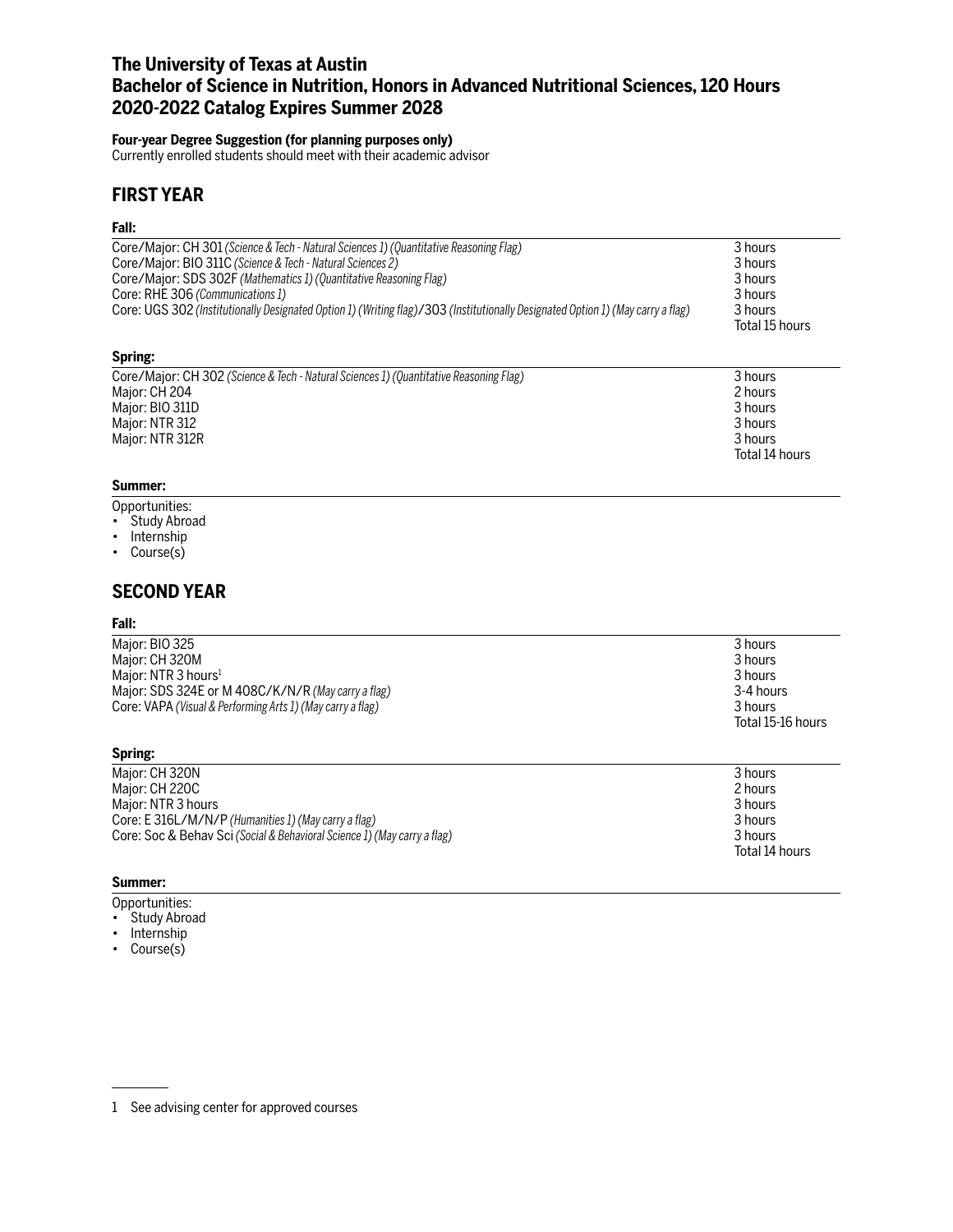# **The University of Texas at Austin Bachelor of Science in Nutrition, Honors in Advanced Nutritional Sciences, 120 Hours 2020-2022 Catalog Expires Summer 2028**

### **Four-year Degree Suggestion (for planning purposes only)**

Currently enrolled students should meet with their academic advisor

# **FIRST YEAR**

### **Fall:**

| Core/Major: CH 301 (Science & Tech - Natural Sciences 1) (Quantitative Reasoning Flag)                                          | 3 hours        |
|---------------------------------------------------------------------------------------------------------------------------------|----------------|
| Core/Major: BIO 311C (Science & Tech - Natural Sciences 2)                                                                      | 3 hours        |
| Core/Major: SDS 302F (Mathematics 1) (Quantitative Reasoning Flag)                                                              | 3 hours        |
| Core: RHE 306 (Communications 1)                                                                                                | 3 hours        |
| Core: UGS 302 (Institutionally Designated Option 1) (Writing flag)/303 (Institutionally Designated Option 1) (May carry a flag) | 3 hours        |
|                                                                                                                                 | Total 15 hours |

### **Spring:**

| Core/Major: CH 302 (Science & Tech - Natural Sciences 1) (Quantitative Reasoning Flag) | 3 hours        |
|----------------------------------------------------------------------------------------|----------------|
| Major: CH 204                                                                          | 2 hours        |
| Major: BIO 311D                                                                        | 3 hours        |
| Major: NTR 312                                                                         | 3 hours        |
| Maior: NTR 312R                                                                        | 3 hours        |
|                                                                                        | Total 14 hours |

## **Summer:**

- Opportunities:
- Study Abroad
- Internship
- Course(s)

# **SECOND YEAR**

### **Fall:**

| Major: BIO 325                                             | 3 hours           |
|------------------------------------------------------------|-------------------|
| Major: CH 320M                                             | 3 hours           |
| Maior: NTR 3 hours <sup>1</sup>                            | 3 hours           |
| Major: SDS 324E or M 408C/K/N/R (May carry a flag)         | 3-4 hours         |
| Core: VAPA (Visual & Performing Arts 1) (May carry a flag) | 3 hours           |
|                                                            | Total 15-16 hours |
|                                                            |                   |

| Major: CH 320N                                                           | 3 hours        |
|--------------------------------------------------------------------------|----------------|
| Major: CH 220C                                                           | 2 hours        |
| Major: NTR 3 hours                                                       | 3 hours        |
| Core: E 316L/M/N/P (Humanities 1) (May carry a flag)                     | 3 hours        |
| Core: Soc & Behav Sci (Social & Behavioral Science 1) (May carry a flag) | 3 hours        |
|                                                                          | Total 14 hours |

### **Summer:**

**Spring:**

- Opportunities:
- Study Abroad
- Internship
- Course(s)

<sup>1</sup> See advising center for approved courses